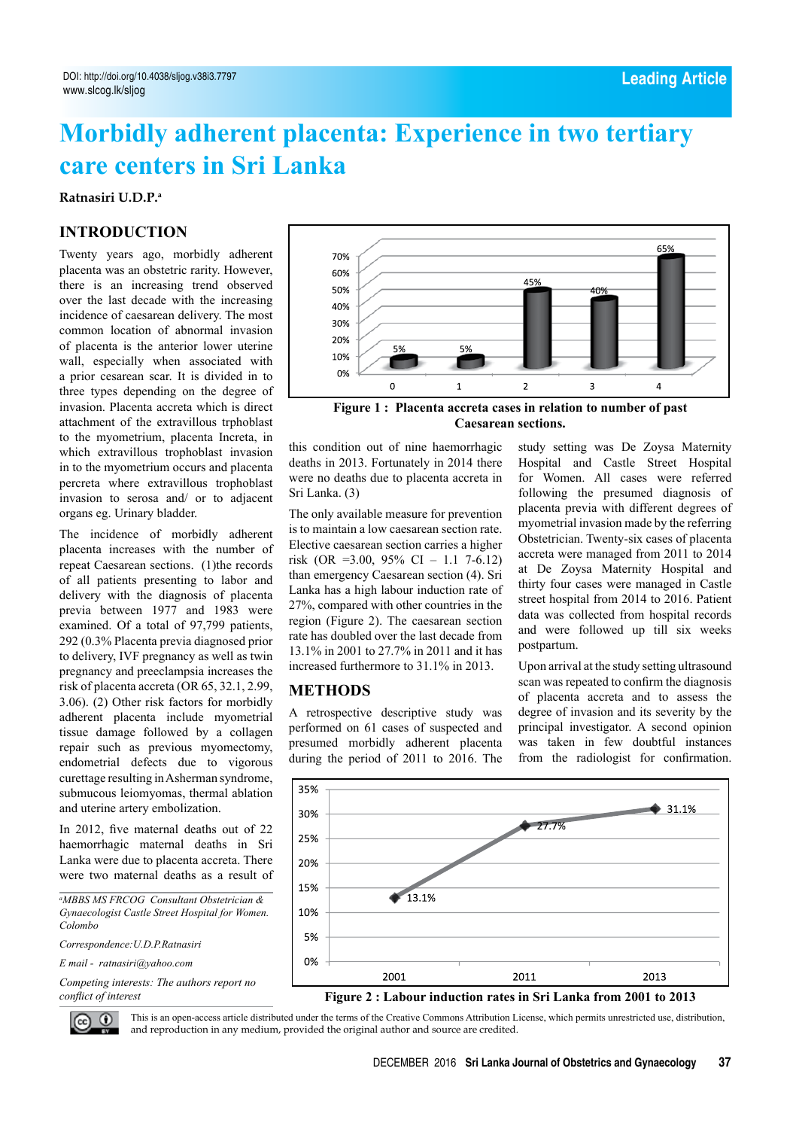# **Morbidly adherent placenta: Experience in two tertiary care centers in Sri Lanka**

**Ratnasiri U.D.P.a**

## **Introduction**

Twenty years ago, morbidly adherent placenta was an obstetric rarity. However, there is an increasing trend observed over the last decade with the increasing incidence of caesarean delivery. The most common location of abnormal invasion of placenta is the anterior lower uterine wall, especially when associated with a prior cesarean scar. It is divided in to three types depending on the degree of invasion. Placenta accreta which is direct attachment of the extravillous trphoblast to the myometrium, placenta Increta, in which extravillous trophoblast invasion in to the myometrium occurs and placenta percreta where extravillous trophoblast invasion to serosa and/ or to adjacent organs eg. Urinary bladder.

The incidence of morbidly adherent placenta increases with the number of repeat Caesarean sections. (1)the records of all patients presenting to labor and delivery with the diagnosis of placenta previa between 1977 and 1983 were examined. Of a total of 97,799 patients, 292 (0.3% Placenta previa diagnosed prior to delivery, IVF pregnancy as well as twin pregnancy and preeclampsia increases the risk of placenta accreta (OR 65, 32.1, 2.99, 3.06). (2) Other risk factors for morbidly adherent placenta include myometrial tissue damage followed by a collagen repair such as previous myomectomy, endometrial defects due to vigorous curettage resulting in Asherman syndrome, submucous leiomyomas, thermal ablation and uterine artery embolization.

In 2012, five maternal deaths out of 22 haemorrhagic maternal deaths in Sri Lanka were due to placenta accreta. There were two maternal deaths as a result of

*a MBBS MS FRCOG Consultant Obstetrician & Gynaecologist Castle Street Hospital for Women. Colombo*

*Correspondence:U.D.P.Ratnasiri* 

*E mail - ratnasiri@yahoo.com*

*Competing interests: The authors report no conflict of interest*



**Figure 1 : Placenta accreta cases in relation to number of past Caesarean sections.**

this condition out of nine haemorrhagic deaths in 2013. Fortunately in 2014 there were no deaths due to placenta accreta in Sri Lanka. (3)

The only available measure for prevention is to maintain a low caesarean section rate. Elective caesarean section carries a higher risk (OR = 3.00, 95% CI – 1.1 7-6.12) than emergency Caesarean section (4). Sri Lanka has a high labour induction rate of 27%, compared with other countries in the region (Figure 2). The caesarean section rate has doubled over the last decade from 13.1% in 2001 to 27.7% in 2011 and it has increased furthermore to 31.1% in 2013.

### **Methods**

A retrospective descriptive study was performed on 61 cases of suspected and presumed morbidly adherent placenta during the period of 2011 to 2016. The study setting was De Zoysa Maternity Hospital and Castle Street Hospital for Women. All cases were referred following the presumed diagnosis of placenta previa with different degrees of myometrial invasion made by the referring Obstetrician. Twenty-six cases of placenta accreta were managed from 2011 to 2014 at De Zoysa Maternity Hospital and thirty four cases were managed in Castle street hospital from 2014 to 2016. Patient data was collected from hospital records and were followed up till six weeks postpartum.

Upon arrival at the study setting ultrasound scan was repeated to confirm the diagnosis of placenta accreta and to assess the degree of invasion and its severity by the principal investigator. A second opinion was taken in few doubtful instances from the radiologist for confirmation.



#### **Figure 2 : Labour induction rates in Sri Lanka from 2001 to 2013**

 $\odot$ 

This is an open-access article distributed under the terms of the Creative Commons Attribution License, which permits unrestricted use, distribution, and reproduction in any medium, provided the original author and source are credited.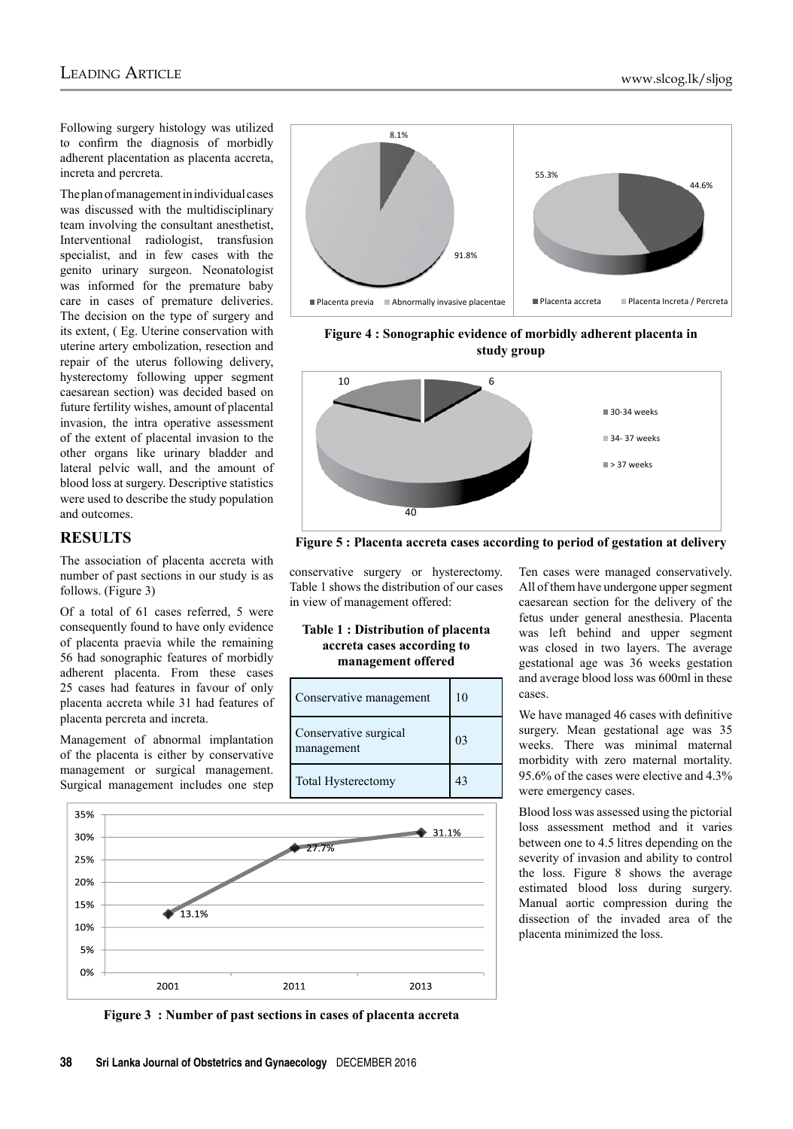Following surgery histology was utilized to confirm the diagnosis of morbidly adherent placentation as placenta accreta, increta and percreta.

The plan of management in individual cases was discussed with the multidisciplinary team involving the consultant anesthetist, Interventional radiologist, transfusion specialist, and in few cases with the genito urinary surgeon. Neonatologist was informed for the premature baby care in cases of premature deliveries. The decision on the type of surgery and its extent, ( Eg. Uterine conservation with uterine artery embolization, resection and repair of the uterus following delivery, hysterectomy following upper segment caesarean section) was decided based on future fertility wishes, amount of placental invasion, the intra operative assessment of the extent of placental invasion to the other organs like urinary bladder and lateral pelvic wall, and the amount of blood loss at surgery. Descriptive statistics were used to describe the study population and outcomes.

#### **Results**

The association of placenta accreta with number of past sections in our study is as follows. (Figure 3)

Of a total of 61 cases referred, 5 were consequently found to have only evidence of placenta praevia while the remaining 56 had sonographic features of morbidly adherent placenta. From these cases 25 cases had features in favour of only placenta accreta while 31 had features of placenta percreta and increta.

Management of abnormal implantation of the placenta is either by conservative management or surgical management. Surgical management includes one step



**Figure 4 : Sonographic evidence of morbidly adherent placenta in study group**



**Figure 5 : Placenta accreta cases according to period of gestation at delivery**

conservative surgery or hysterectomy. Table 1 shows the distribution of our cases in view of management offered:

#### **Table 1 : Distribution of placenta accreta cases according to management offered**

| Conservative management             | 10             |
|-------------------------------------|----------------|
| Conservative surgical<br>management | 0 <sup>3</sup> |
| Total Hysterectomy                  | 43             |

Ten cases were managed conservatively. All of them have undergone upper segment caesarean section for the delivery of the fetus under general anesthesia. Placenta was left behind and upper segment was closed in two layers. The average gestational age was 36 weeks gestation and average blood loss was 600ml in these cases.

We have managed 46 cases with definitive surgery. Mean gestational age was 35 weeks. There was minimal maternal morbidity with zero maternal mortality. 95.6% of the cases were elective and 4.3% were emergency cases.

Blood loss was assessed using the pictorial loss assessment method and it varies between one to 4.5 litres depending on the severity of invasion and ability to control the loss. Figure 8 shows the average estimated blood loss during surgery. Manual aortic compression during the dissection of the invaded area of the placenta minimized the loss.



**Figure 3 : Number of past sections in cases of placenta accreta**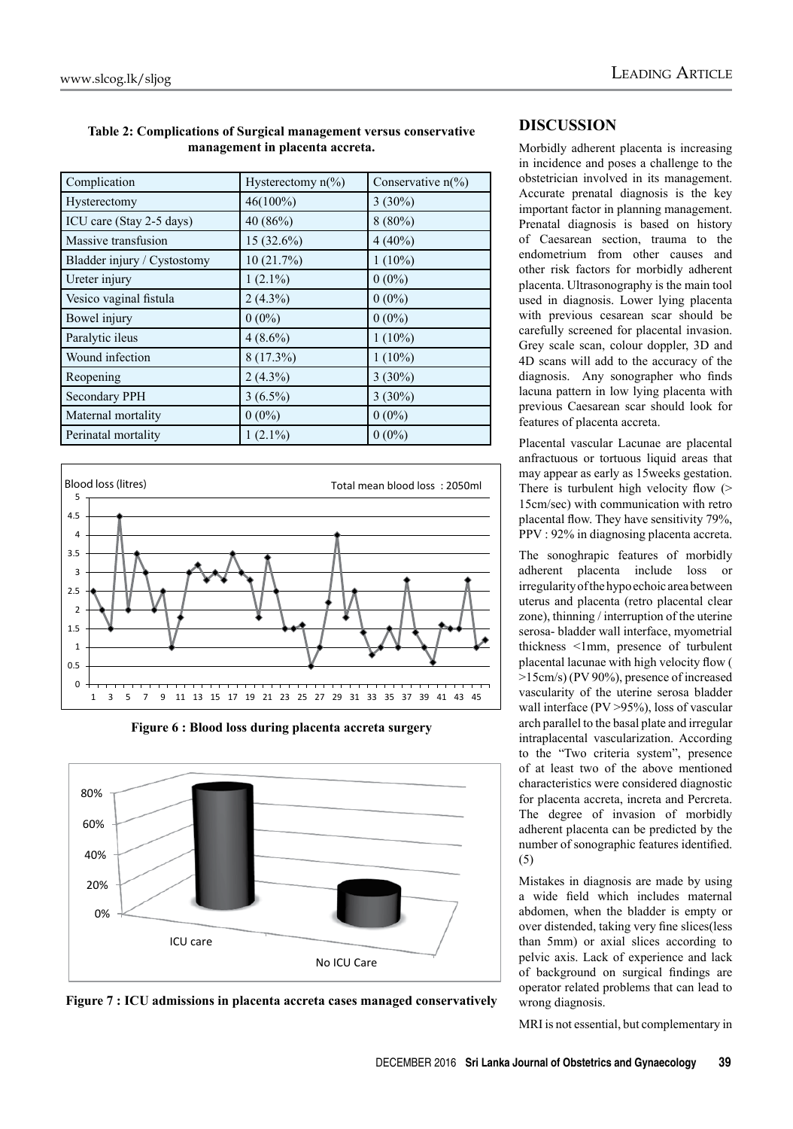| Table 2: Complications of Surgical management versus conservative |  |  |  |
|-------------------------------------------------------------------|--|--|--|
| management in placenta accreta.                                   |  |  |  |

| Complication                | Hysterectomy $n\frac{6}{6}$ | Conservative $n\frac{6}{6}$ |
|-----------------------------|-----------------------------|-----------------------------|
| Hysterectomy                | $46(100\%)$                 | $3(30\%)$                   |
| ICU care (Stay 2-5 days)    | 40 (86%)                    | $8(80\%)$                   |
| Massive transfusion         | 15 (32.6%)                  | $4(40\%)$                   |
| Bladder injury / Cystostomy | 10(21.7%)                   | $1(10\%)$                   |
| Ureter injury               | $1(2.1\%)$                  | $0(0\%)$                    |
| Vesico vaginal fistula      | $2(4.3\%)$                  | $0(0\%)$                    |
| Bowel injury                | $0(0\%)$                    | $0(0\%)$                    |
| Paralytic ileus             | $4(8.6\%)$                  | $1(10\%)$                   |
| Wound infection             | $8(17.3\%)$                 | $1(10\%)$                   |
| Reopening                   | $2(4.3\%)$                  | $3(30\%)$                   |
| <b>Secondary PPH</b>        | $3(6.5\%)$                  | $3(30\%)$                   |
| Maternal mortality          | $0(0\%)$                    | $0(0\%)$                    |
| Perinatal mortality         | $1(2.1\%)$                  | $0(0\%)$                    |



**Figure 6 : Blood loss during placenta accreta surgery**



**Figure 7 : ICU admissions in placenta accreta cases managed conservatively**

# **Discussion**

Morbidly adherent placenta is increasing in incidence and poses a challenge to the obstetrician involved in its management. Accurate prenatal diagnosis is the key important factor in planning management. Prenatal diagnosis is based on history of Caesarean section, trauma to the endometrium from other causes and other risk factors for morbidly adherent placenta. Ultrasonography is the main tool used in diagnosis. Lower lying placenta with previous cesarean scar should be carefully screened for placental invasion. Grey scale scan, colour doppler, 3D and 4D scans will add to the accuracy of the diagnosis. Any sonographer who finds lacuna pattern in low lying placenta with previous Caesarean scar should look for features of placenta accreta.

Placental vascular Lacunae are placental anfractuous or tortuous liquid areas that may appear as early as 15weeks gestation. There is turbulent high velocity flow (> 15cm/sec) with communication with retro placental flow. They have sensitivity 79%, PPV : 92% in diagnosing placenta accreta.

The sonoghrapic features of morbidly adherent placenta include loss or irregularity of the hypo echoic area between uterus and placenta (retro placental clear zone), thinning / interruption of the uterine serosa- bladder wall interface, myometrial thickness <1mm, presence of turbulent placental lacunae with high velocity flow ( >15cm/s) (PV 90%), presence of increased vascularity of the uterine serosa bladder wall interface (PV > 95%), loss of vascular arch parallel to the basal plate and irregular intraplacental vascularization. According to the "Two criteria system", presence of at least two of the above mentioned characteristics were considered diagnostic for placenta accreta, increta and Percreta. The degree of invasion of morbidly adherent placenta can be predicted by the number of sonographic features identified. (5)

Mistakes in diagnosis are made by using a wide field which includes maternal abdomen, when the bladder is empty or over distended, taking very fine slices(less than 5mm) or axial slices according to pelvic axis. Lack of experience and lack of background on surgical findings are operator related problems that can lead to wrong diagnosis.

MRI is not essential, but complementary in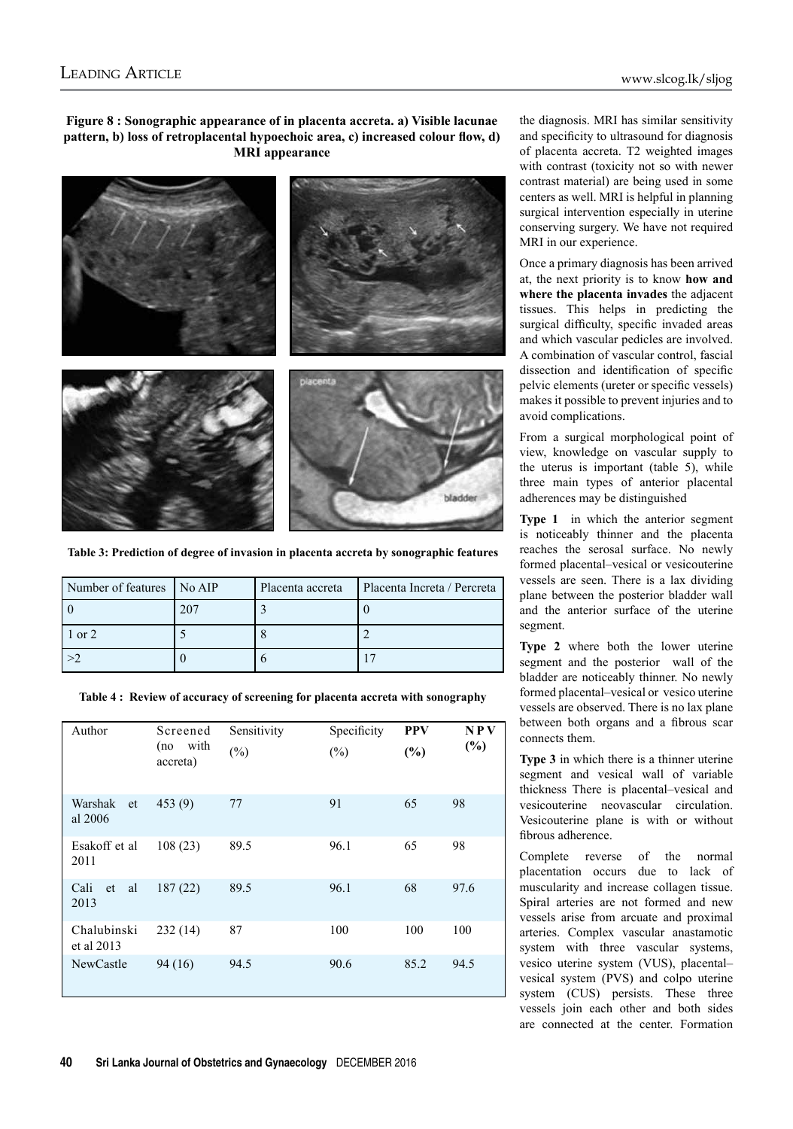**Figure 8 : Sonographic appearance of in placenta accreta. a) Visible lacunae pattern, b) loss of retroplacental hypoechoic area, c) increased colour flow, d) MRI appearance**



**Table 3: Prediction of degree of invasion in placenta accreta by sonographic features**

| Number of features   No AIP | Placenta accreta | Placenta Increta / Percreta |
|-----------------------------|------------------|-----------------------------|
|                             |                  |                             |
| 1 or 2                      |                  |                             |
|                             |                  |                             |

|  |  |  |  |  | Table 4: Review of accuracy of screening for placenta accreta with sonography |  |
|--|--|--|--|--|-------------------------------------------------------------------------------|--|
|--|--|--|--|--|-------------------------------------------------------------------------------|--|

| Author                    | Screened<br>(no with<br>accreta) | Sensitivity<br>$(\%)$ | Specificity<br>$(\%)$ | <b>PPV</b><br>(%) | NPV<br>(%) |
|---------------------------|----------------------------------|-----------------------|-----------------------|-------------------|------------|
| Warshak<br>et<br>al 2006  | 453(9)                           | 77                    | 91                    | 65                | 98         |
| Esakoff et al<br>2011     | 108(23)                          | 89.5                  | 96.1                  | 65                | 98         |
| Cali<br>al<br>et<br>2013  | 187(22)                          | 89.5                  | 96.1                  | 68                | 97.6       |
| Chalubinski<br>et al 2013 | 232(14)                          | 87                    | 100                   | 100               | 100        |
| <b>NewCastle</b>          | 94 (16)                          | 94.5                  | 90.6                  | 85.2              | 94.5       |

the diagnosis. MRI has similar sensitivity and specificity to ultrasound for diagnosis of placenta accreta. T2 weighted images with contrast (toxicity not so with newer contrast material) are being used in some centers as well. MRI is helpful in planning surgical intervention especially in uterine conserving surgery. We have not required MRI in our experience.

Once a primary diagnosis has been arrived at, the next priority is to know **how and where the placenta invades** the adjacent tissues. This helps in predicting the surgical difficulty, specific invaded areas and which vascular pedicles are involved. A combination of vascular control, fascial dissection and identification of specific pelvic elements (ureter or specific vessels) makes it possible to prevent injuries and to avoid complications.

From a surgical morphological point of view, knowledge on vascular supply to the uterus is important (table 5), while three main types of anterior placental adherences may be distinguished

**Type 1** in which the anterior segment is noticeably thinner and the placenta reaches the serosal surface. No newly formed placental–vesical or vesicouterine vessels are seen. There is a lax dividing plane between the posterior bladder wall and the anterior surface of the uterine segment.

**Type 2** where both the lower uterine segment and the posterior wall of the bladder are noticeably thinner. No newly formed placental–vesical or vesico uterine vessels are observed. There is no lax plane between both organs and a fibrous scar connects them.

**Type 3** in which there is a thinner uterine segment and vesical wall of variable thickness There is placental–vesical and vesicouterine neovascular circulation. Vesicouterine plane is with or without fibrous adherence.

Complete reverse of the normal placentation occurs due to lack of muscularity and increase collagen tissue. Spiral arteries are not formed and new vessels arise from arcuate and proximal arteries. Complex vascular anastamotic system with three vascular systems, vesico uterine system (VUS), placental– vesical system (PVS) and colpo uterine system (CUS) persists. These three vessels join each other and both sides are connected at the center. Formation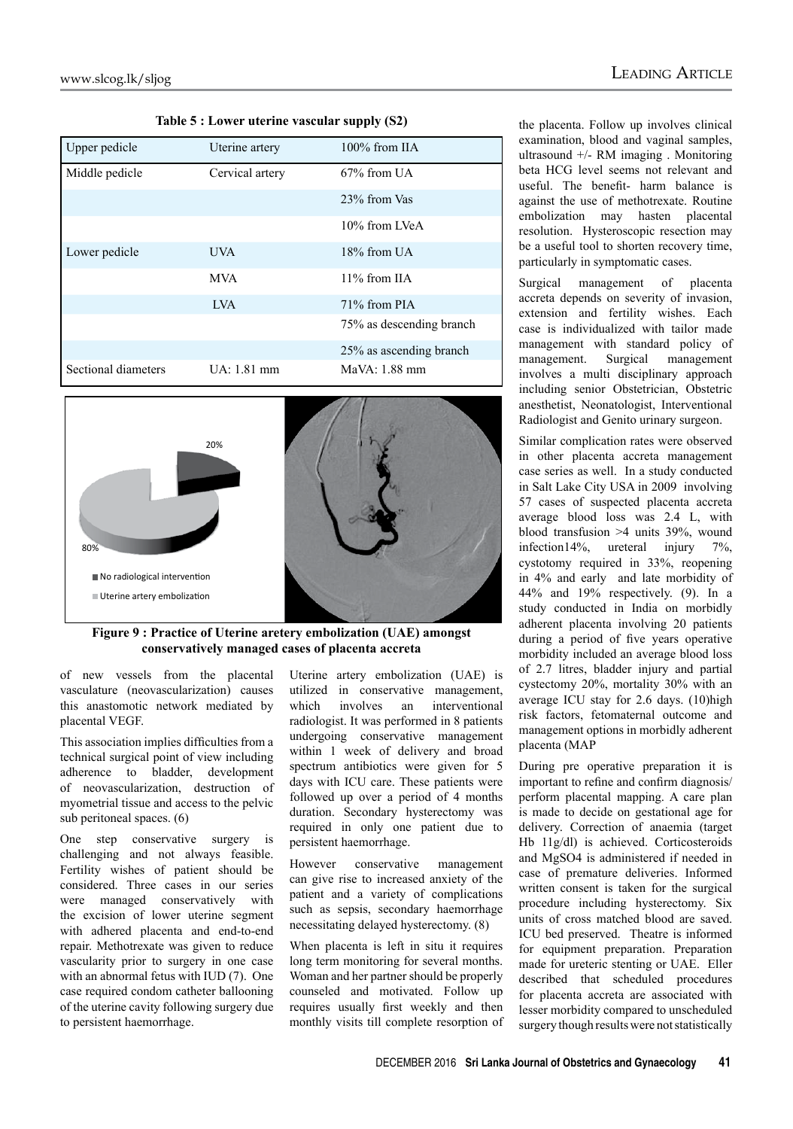| Upper pedicle       | Uterine artery  | $100\%$ from IIA         |
|---------------------|-----------------|--------------------------|
| Middle pedicle      | Cervical artery | $67\%$ from UA           |
|                     |                 | 23% from Vas             |
|                     |                 | 10% from LVeA            |
| Lower pedicle       | <b>UVA</b>      | $18\%$ from UA           |
|                     | <b>MVA</b>      | $11\%$ from IIA          |
|                     | <b>IVA</b>      | $71\%$ from PIA          |
|                     |                 | 75% as descending branch |
|                     |                 | 25% as ascending branch  |
| Sectional diameters | UA: 1.81 mm     | MaVA: 1.88 mm            |

**Table 5 : Lower uterine vascular supply (S2)**



**Figure 9 : Practice of Uterine aretery embolization (UAE) amongst conservatively managed cases of placenta accreta**

of new vessels from the placental vasculature (neovascularization) causes this anastomotic network mediated by placental VEGF.

This association implies difficulties from a technical surgical point of view including adherence to bladder, development of neovascularization, destruction of myometrial tissue and access to the pelvic sub peritoneal spaces. (6)

One step conservative surgery is challenging and not always feasible. Fertility wishes of patient should be considered. Three cases in our series were managed conservatively with the excision of lower uterine segment with adhered placenta and end-to-end repair. Methotrexate was given to reduce vascularity prior to surgery in one case with an abnormal fetus with IUD (7). One case required condom catheter ballooning of the uterine cavity following surgery due to persistent haemorrhage.

Uterine artery embolization (UAE) is utilized in conservative management, which involves an interventional radiologist. It was performed in 8 patients undergoing conservative management within 1 week of delivery and broad spectrum antibiotics were given for 5 days with ICU care. These patients were followed up over a period of 4 months duration. Secondary hysterectomy was required in only one patient due to persistent haemorrhage.

However conservative management can give rise to increased anxiety of the patient and a variety of complications such as sepsis, secondary haemorrhage necessitating delayed hysterectomy. (8)

When placenta is left in situ it requires long term monitoring for several months. Woman and her partner should be properly counseled and motivated. Follow up requires usually first weekly and then monthly visits till complete resorption of the placenta. Follow up involves clinical examination, blood and vaginal samples, ultrasound +/- RM imaging . Monitoring beta HCG level seems not relevant and useful. The benefit- harm balance is against the use of methotrexate. Routine embolization may hasten placental resolution. Hysteroscopic resection may be a useful tool to shorten recovery time, particularly in symptomatic cases.

Surgical management of placenta accreta depends on severity of invasion, extension and fertility wishes. Each case is individualized with tailor made management with standard policy of management. Surgical management involves a multi disciplinary approach including senior Obstetrician, Obstetric anesthetist, Neonatologist, Interventional Radiologist and Genito urinary surgeon.

Similar complication rates were observed in other placenta accreta management case series as well. In a study conducted in Salt Lake City USA in 2009 involving 57 cases of suspected placenta accreta average blood loss was 2.4 L, with blood transfusion >4 units 39%, wound infection14%, ureteral injury 7%, cystotomy required in 33%, reopening in 4% and early and late morbidity of 44% and 19% respectively. (9). In a study conducted in India on morbidly adherent placenta involving 20 patients during a period of five years operative morbidity included an average blood loss of 2.7 litres, bladder injury and partial cystectomy 20%, mortality 30% with an average ICU stay for 2.6 days. (10)high risk factors, fetomaternal outcome and management options in morbidly adherent placenta (MAP

During pre operative preparation it is important to refine and confirm diagnosis/ perform placental mapping. A care plan is made to decide on gestational age for delivery. Correction of anaemia (target Hb 11g/dl) is achieved. Corticosteroids and MgSO4 is administered if needed in case of premature deliveries. Informed written consent is taken for the surgical procedure including hysterectomy. Six units of cross matched blood are saved. ICU bed preserved. Theatre is informed for equipment preparation. Preparation made for ureteric stenting or UAE. Eller described that scheduled procedures for placenta accreta are associated with lesser morbidity compared to unscheduled surgery though results were not statistically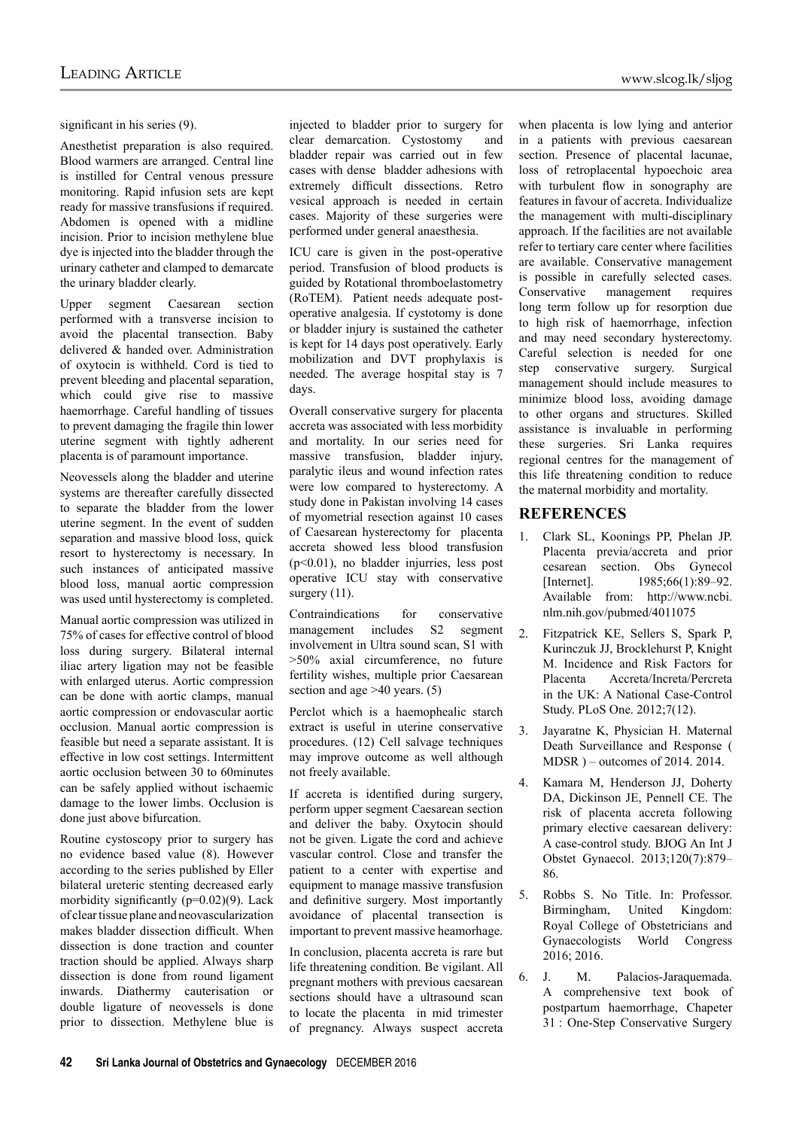significant in his series (9).

Anesthetist preparation is also required. Blood warmers are arranged. Central line is instilled for Central venous pressure monitoring. Rapid infusion sets are kept ready for massive transfusions if required. Abdomen is opened with a midline incision. Prior to incision methylene blue dye is injected into the bladder through the urinary catheter and clamped to demarcate the urinary bladder clearly.

Upper segment Caesarean section performed with a transverse incision to avoid the placental transection. Baby delivered & handed over. Administration of oxytocin is withheld. Cord is tied to prevent bleeding and placental separation, which could give rise to massive haemorrhage. Careful handling of tissues to prevent damaging the fragile thin lower uterine segment with tightly adherent placenta is of paramount importance.

Neovessels along the bladder and uterine systems are thereafter carefully dissected to separate the bladder from the lower uterine segment. In the event of sudden separation and massive blood loss, quick resort to hysterectomy is necessary. In such instances of anticipated massive blood loss, manual aortic compression was used until hysterectomy is completed.

Manual aortic compression was utilized in 75% of cases for effective control of blood loss during surgery. Bilateral internal iliac artery ligation may not be feasible with enlarged uterus. Aortic compression can be done with aortic clamps, manual aortic compression or endovascular aortic occlusion. Manual aortic compression is feasible but need a separate assistant. It is effective in low cost settings. Intermittent aortic occlusion between 30 to 60minutes can be safely applied without ischaemic damage to the lower limbs. Occlusion is done just above bifurcation.

Routine cystoscopy prior to surgery has no evidence based value (8). However according to the series published by Eller bilateral ureteric stenting decreased early morbidity significantly (p=0.02)(9). Lack of clear tissue plane and neovascularization makes bladder dissection difficult. When dissection is done traction and counter traction should be applied. Always sharp dissection is done from round ligament inwards. Diathermy cauterisation or double ligature of neovessels is done prior to dissection. Methylene blue is injected to bladder prior to surgery for clear demarcation. Cystostomy and bladder repair was carried out in few cases with dense bladder adhesions with extremely difficult dissections. Retro vesical approach is needed in certain cases. Majority of these surgeries were performed under general anaesthesia.

ICU care is given in the post-operative period. Transfusion of blood products is guided by Rotational thromboelastometry (RoTEM). Patient needs adequate postoperative analgesia. If cystotomy is done or bladder injury is sustained the catheter is kept for 14 days post operatively. Early mobilization and DVT prophylaxis is needed. The average hospital stay is 7 days.

Overall conservative surgery for placenta accreta was associated with less morbidity and mortality. In our series need for massive transfusion, bladder injury, paralytic ileus and wound infection rates were low compared to hysterectomy. A study done in Pakistan involving 14 cases of myometrial resection against 10 cases of Caesarean hysterectomy for placenta accreta showed less blood transfusion (p<0.01), no bladder injurries, less post operative ICU stay with conservative surgery  $(11)$ .

Contraindications for conservative management includes S2 segment involvement in Ultra sound scan, S1 with >50% axial circumference, no future fertility wishes, multiple prior Caesarean section and age >40 years. (5)

Perclot which is a haemophealic starch extract is useful in uterine conservative procedures. (12) Cell salvage techniques may improve outcome as well although not freely available.

If accreta is identified during surgery, perform upper segment Caesarean section and deliver the baby. Oxytocin should not be given. Ligate the cord and achieve vascular control. Close and transfer the patient to a center with expertise and equipment to manage massive transfusion and definitive surgery. Most importantly avoidance of placental transection is important to prevent massive heamorhage.

In conclusion, placenta accreta is rare but life threatening condition. Be vigilant. All pregnant mothers with previous caesarean sections should have a ultrasound scan to locate the placenta in mid trimester of pregnancy. Always suspect accreta

when placenta is low lying and anterior in a patients with previous caesarean section. Presence of placental lacunae, loss of retroplacental hypoechoic area with turbulent flow in sonography are features in favour of accreta. Individualize the management with multi-disciplinary approach. If the facilities are not available refer to tertiary care center where facilities are available. Conservative management is possible in carefully selected cases. Conservative management requires long term follow up for resorption due to high risk of haemorrhage, infection and may need secondary hysterectomy. Careful selection is needed for one step conservative surgery. Surgical management should include measures to minimize blood loss, avoiding damage to other organs and structures. Skilled assistance is invaluable in performing these surgeries. Sri Lanka requires regional centres for the management of this life threatening condition to reduce the maternal morbidity and mortality.

#### **References**

- 1. Clark SL, Koonings PP, Phelan JP. Placenta previa/accreta and prior cesarean section. Obs Gynecol [Internet]. 1985;66(1):89–92. Available from: http://www.ncbi. nlm.nih.gov/pubmed/4011075
- 2. Fitzpatrick KE, Sellers S, Spark P, Kurinczuk JJ, Brocklehurst P, Knight M. Incidence and Risk Factors for Placenta Accreta/Increta/Percreta in the UK: A National Case-Control Study. PLoS One. 2012;7(12).
- 3. Jayaratne K, Physician H. Maternal Death Surveillance and Response ( MDSR ) – outcomes of 2014. 2014.
- 4. Kamara M, Henderson JJ, Doherty DA, Dickinson JE, Pennell CE. The risk of placenta accreta following primary elective caesarean delivery: A case-control study. BJOG An Int J Obstet Gynaecol. 2013;120(7):879– 86.
- 5. Robbs S. No Title. In: Professor. Birmingham, United Kingdom: Royal College of Obstetricians and Gynaecologists World Congress 2016; 2016.
- 6. J. M. Palacios-Jaraquemada. A comprehensive text book of postpartum haemorrhage, Chapeter 31 : One-Step Conservative Surgery